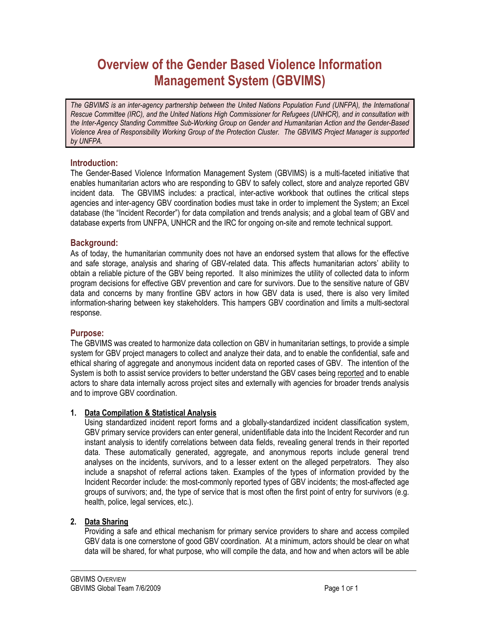# **Overview of the Gender Based Violence Information Management System (GBVIMS)**

The GBVIMS is an inter-agency partnership between the United Nations Population Fund (UNFPA), the International *Rescue Committee (IRC), and the United Nations High Commissioner for Refugees (UNHCR), and in consultation with the Inter-Agency Standing Committee Sub-Working Group on Gender and Humanitarian Action and the Gender-Based Violence Area of Responsibility Working Group of the Protection Cluster. The GBVIMS Project Manager is supported by UNFPA.* 

# **Introduction:**

The Gender-Based Violence Information Management System (GBVIMS) is a multi-faceted initiative that enables humanitarian actors who are responding to GBV to safely collect, store and analyze reported GBV incident data. The GBVIMS includes: a practical, inter-active workbook that outlines the critical steps agencies and inter-agency GBV coordination bodies must take in order to implement the System; an Excel database (the "Incident Recorder") for data compilation and trends analysis; and a global team of GBV and database experts from UNFPA, UNHCR and the IRC for ongoing on-site and remote technical support.

# **Background:**

As of today, the humanitarian community does not have an endorsed system that allows for the effective and safe storage, analysis and sharing of GBV-related data. This affects humanitarian actors' ability to obtain a reliable picture of the GBV being reported. It also minimizes the utility of collected data to inform program decisions for effective GBV prevention and care for survivors. Due to the sensitive nature of GBV data and concerns by many frontline GBV actors in how GBV data is used, there is also very limited information-sharing between key stakeholders. This hampers GBV coordination and limits a multi-sectoral response.

#### **Purpose:**

The GBVIMS was created to harmonize data collection on GBV in humanitarian settings, to provide a simple system for GBV project managers to collect and analyze their data, and to enable the confidential, safe and ethical sharing of aggregate and anonymous incident data on reported cases of GBV. The intention of the System is both to assist service providers to better understand the GBV cases being reported and to enable actors to share data internally across project sites and externally with agencies for broader trends analysis and to improve GBV coordination.

#### **1. Data Compilation & Statistical Analysis**

Using standardized incident report forms and a globally-standardized incident classification system, GBV primary service providers can enter general, unidentifiable data into the Incident Recorder and run instant analysis to identify correlations between data fields, revealing general trends in their reported data. These automatically generated, aggregate, and anonymous reports include general trend analyses on the incidents, survivors, and to a lesser extent on the alleged perpetrators. They also include a snapshot of referral actions taken. Examples of the types of information provided by the Incident Recorder include: the most-commonly reported types of GBV incidents; the most-affected age groups of survivors; and, the type of service that is most often the first point of entry for survivors (e.g. health, police, legal services, etc.).

#### **2. Data Sharing**

Providing a safe and ethical mechanism for primary service providers to share and access compiled GBV data is one cornerstone of good GBV coordination. At a minimum, actors should be clear on what data will be shared, for what purpose, who will compile the data, and how and when actors will be able